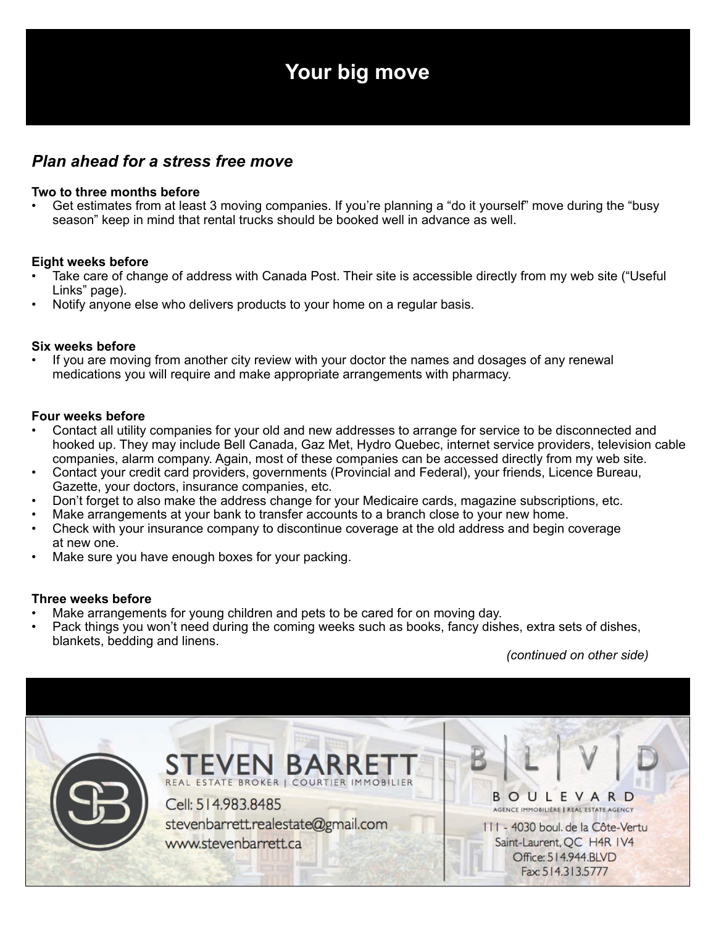# **Your big move**

# *Plan ahead for a stress free move*

# **Two to three months before**

• Get estimates from at least 3 moving companies. If you're planning a "do it yourself" move during the "busy season" keep in mind that rental trucks should be booked well in advance as well.

# **Eight weeks before**

- Take care of change of address with Canada Post. Their site is accessible directly from my web site ("Useful Links" page).
- Notify anyone else who delivers products to your home on a regular basis.

# **Six weeks before**

If you are moving from another city review with your doctor the names and dosages of any renewal medications you will require and make appropriate arrangements with pharmacy.

#### **Four weeks before**

- Contact all utility companies for your old and new addresses to arrange for service to be disconnected and hooked up. They may include Bell Canada, Gaz Met, Hydro Quebec, internet service providers, television cable companies, alarm company. Again, most of these companies can be accessed directly from my web site.
- Contact your credit card providers, governments (Provincial and Federal), your friends, Licence Bureau, Gazette, your doctors, insurance companies, etc.
- Don't forget to also make the address change for your Medicaire cards, magazine subscriptions, etc.
- Make arrangements at your bank to transfer accounts to a branch close to your new home.
- Check with your insurance company to discontinue coverage at the old address and begin coverage at new one.
- Make sure you have enough boxes for your packing.

#### **Three weeks before**

- Make arrangements for young children and pets to be cared for on moving day.
- Pack things you won't need during the coming weeks such as books, fancy dishes, extra sets of dishes, blankets, bedding and linens.

 *(continued on other side)*